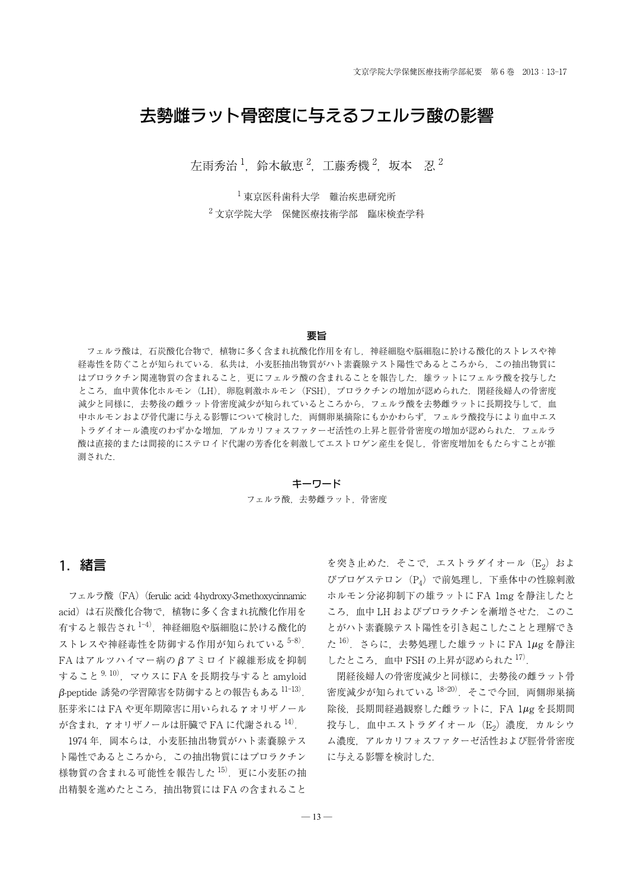# 去勢雌ラット骨密度に与えるフェルラ酸の影響

左雨秀治  $^1$ ,鈴木敏恵  $^2$ ,工藤秀機  $^2$ ,坂本 忍  $^2$ 

<sup>1</sup> 東京医科歯科大学 難治疾患研究所 <sup>2</sup> 文京学院大学 保健医療技術学部 臨床検査学科

#### 要旨

フェルラ酸は,石炭酸化合物で,植物に多く含まれ抗酸化作用を有し,神経細胞や脳細胞に於ける酸化的ストレスや神 経毒性を防ぐことが知られている.私共は、小麦胚抽出物質がハト素嚢腺テスト陽性であるところから、この抽出物質に はプロラクチン関連物質の含まれること,更にフェルラ酸の含まれることを報告した.雄ラットにフェルラ酸を投与した ところ、血中黄体化ホルモン (LH), 卵胞刺激ホルモン (FSH), プロラクチンの増加が認められた. 閉経後婦人の骨密度 減少と同様に,去勢後の雌ラット骨密度減少が知られているところから,フェルラ酸を去勢雌ラットに長期投与して,血 中ホルモンおよび骨代謝に与える影響について検討した.両側卵巣摘除にもかかわらず,フェルラ酸投与により血中エス トラダイオール濃度のわずかな増加,アルカリフォスファターゼ活性の上昇と脛骨骨密度の増加が認められた.フェルラ 酸は直接的または間接的にステロイド代謝の芳香化を刺激してエストロゲン産生を促し,骨密度増加をもたらすことが推 測された.

#### キーワード

#### フェルラ酸,去勢雌ラット,骨密度

# 1.緒言

フェルラ酸 (FA) (ferulic acid: 4-hydroxy-3-methoxycinnamic acid) は石炭酸化合物で、植物に多く含まれ抗酸化作用を 有すると報告され 1-4). 神経細胞や脳細胞に於ける酸化的 ストレスや神経毒性を防御する作用が知られている<sup>5-8)</sup>.  $FA$ はアルツハイマー病の $\beta$ アミロイド線維形成を抑制 すること  $9, 10$ , マウスに FA を長期投与すると amyloid  $\beta$ -peptide 誘発の学習障害を防御するとの報告もある $^{11-13)}$ . 胚芽米には FA や更年期障害に用いられる g オリザノール  $\hat{\psi}$ 含まれ,  $\gamma$  オリザノールは肝臓で FA に代謝される  $^{14}$ .

1974 年,岡本らは,小麦胚抽出物質がハト素嚢腺テス ト陽性であるところから,この抽出物質にはプロラクチン 様物質の含まれる可能性を報告した 15). 更に小麦胚の抽 出精製を進めたところ,抽出物質には FA の含まれること

を突き止めた. そこで、エストラダイオール (E2) およ びプロゲステロン(P4)で前処理し,下垂体中の性腺刺激 ホルモン分泌抑制下の雄ラットに FA 1mg を静注したと ころ, 血中 LH およびプロラクチンを漸増させた. このこ とがハト素嚢腺テスト陽性を引き起こしたことと理解でき た $16$ . さらに、去勢処理した雄ラットに FA  $1\mu$ g を静注 したところ,血中 FSH の上昇が認められた 17).

閉経後婦人の骨密度減少と同様に,去勢後の雌ラット骨 密度減少が知られている $18-20$ ). そこで今回, 両側卵巣摘 除後, 長期間経過観察した雌ラットに, FA 1µg を長期間 投与し、血中エストラダイオール (E2) 濃度, カルシウ ム濃度,アルカリフォスファターゼ活性および脛骨骨密度 に与える影響を検討した.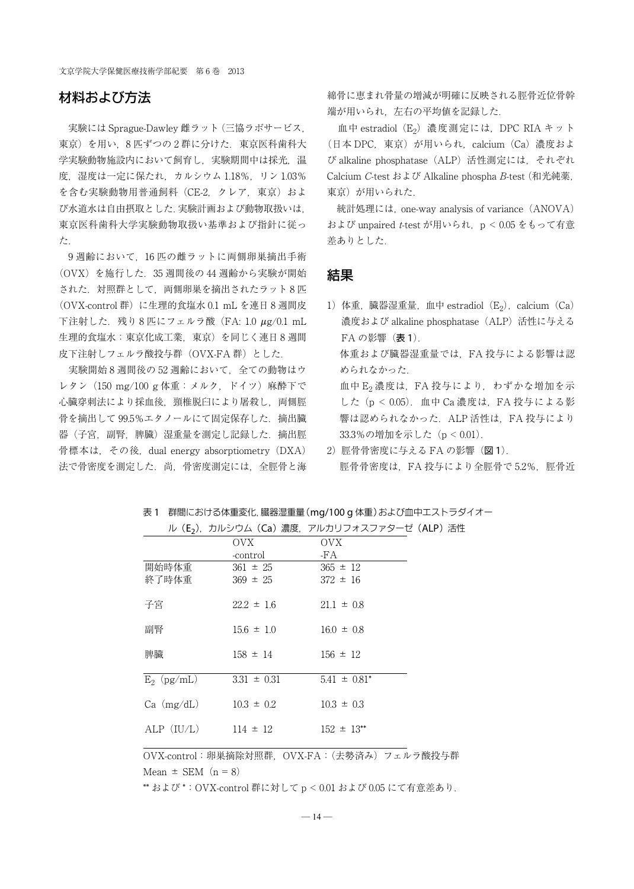文京学院大学保健医療技術学部紀要 第 6 巻 2013

## 材料および方法

実験には Sprague-Dawley 雌ラット(三協ラボサービス, 東京)を用い. 8 匹ずつの2 群に分けた. 東京医科歯科大 学実験動物施設内において飼育し、実験期間中は採光、温 度, 湿度は一定に保たれ、カルシウム 1.18%, リン 1.03% を含む実験動物用普通飼料 (CE-2, クレア, 東京) およ び水道水は自由摂取とした.実験計画および動物取扱いは, 東京医科歯科大学実験動物取扱い基準および指針に従っ た.

9 週齢において,16 匹の雌ラットに両側卵巣摘出手術 (OVX)を施行した.35 週間後の 44 週齢から実験が開始 された.対照群として,両側卵巣を摘出されたラット 8 匹 (OVX-control 群)に生理的食塩水 0.1 mL を連日 8 週間皮 下注射した. 残り8匹にフェルラ酸 (FA: 1.0 μg/0.1 mL 生理的食塩水:東京化成工業,東京)を同じく連日 8 週間 皮下注射しフェルラ酸投与群(OVX-FA 群)とした.

実験開始8週間後の52週齢において、全ての動物はウ レタン (150 mg/100 g 体重:メルク, ドイツ) 麻酔下で 心臓穿刺法により採血後、頸椎脱臼により屠殺し、両側脛 骨を摘出して99.5%エタノールにて固定保存した. 摘出臓 器(子宮,副腎,脾臓)湿重量を測定し記録した. 摘出脛 骨標本は, その後, dual energy absorptiometry (DXA) 法で骨密度を測定した.尚,骨密度測定には,全脛骨と海 綿骨に恵まれ骨量の増減が明確に反映される脛骨近位骨幹 端が用いられ,左右の平均値を記録した.

血中 estradiol (E<sub>2</sub>) 濃度測定には, DPC RIA キット (日本 DPC,東京)が用いられ,calcium(Ca)濃度およ び alkaline phosphatase(ALP)活性測定には,それぞれ Calcium C-test および Alkaline phospha B-test(和光純薬, 東京)が用いられた.

統計処理には, one-way analysis of variance (ANOVA) および unpaired t-test が用いられ,p < 0.05 をもって有意 差ありとした.

## 結果

- 1) 体重, 臓器湿重量, 血中 estradiol  $(E_2)$ , calcium  $(Ca)$ 濃度および alkaline phosphatase(ALP)活性に与える FAの影響(表1). 体重および臓器湿重量では,FA 投与による影響は認 められなかった. 血中  $E_2$ 濃度は, FA 投与により、わずかな増加を示 した(p < 0.05).血中 Ca 濃度は,FA 投与による影 響は認められなかった.ALP 活性は,FA 投与により 33.3%の増加を示した (p < 0.01).
- 2)脛骨骨密度に与える FA の影響(図 1). 脛骨骨密度は, FA 投与により全脛骨で 5.2%, 脛骨近

表 1 群間における体重変化,臓器湿重量(mg/100 g 体重)および血中エストラダイオー

|                | OVX             | OVX.              |
|----------------|-----------------|-------------------|
|                | -control        | -FA               |
| 開始時体重          | $361 \pm 25$    | $365 \pm 12$      |
| 終了時体重          | $369 \pm 25$    | $372 \pm 16$      |
| 子宮             | $22.2 \pm 1.6$  | $21.1 \pm 0.8$    |
| 副腎             | $15.6 \pm 1.0$  | $16.0 \pm 0.8$    |
| 脾臟             | $158 \pm 14$    | $156 \pm 12$      |
| $E_2$ (pg/mL)  | $3.31 \pm 0.31$ | $5.41 \pm 0.81^*$ |
| $Ca \ (mg/dL)$ | $10.3 \pm 0.2$  | $10.3 \pm 0.3$    |
| ALP $(IU/L)$   | $114 \pm 12$    | $152 \pm 13^{**}$ |
|                |                 |                   |

ル (E2), カルシウム (Ca) 濃度, アルカリフォスファターゼ (ALP) 活性

OVX-control:卵巣摘除対照群,OVX-FA:(去勢済み)フェルラ酸投与群 Mean  $\pm$  SEM (n = 8)

\*\* および \*:OVX-control 群に対して p < 0.01 および 0.05 にて有意差あり.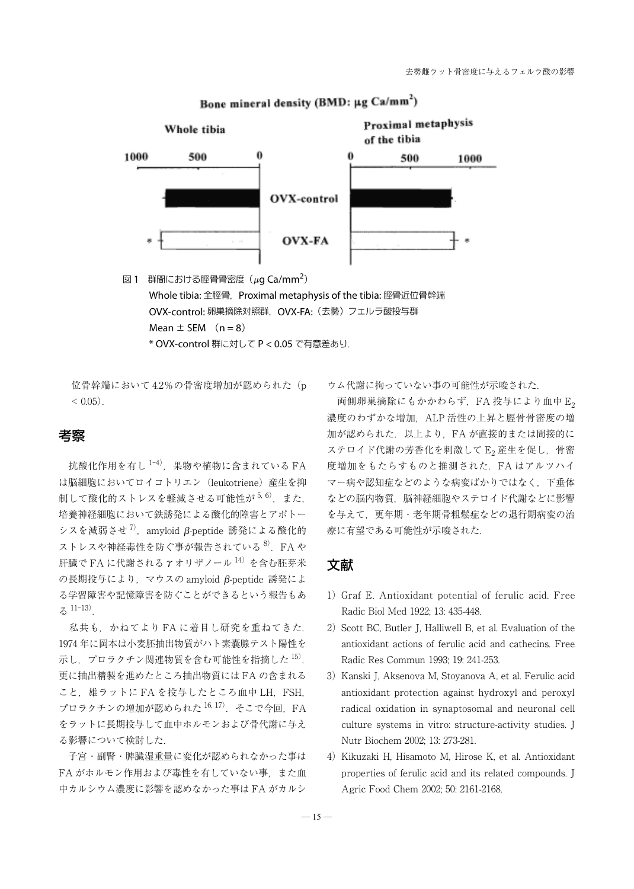

# Bone mineral density (BMD:  $\mu$ g Ca/mm<sup>2</sup>)

- 図 1 群間における脛骨骨密度  $(\mu g \text{ Ca/mm}^2)$ Whole tibia: 全脛骨, Proximal metaphysis of the tibia: 脛骨近位骨幹端 OVX-control: 卵巣摘除対照群,OVX-FA:(去勢)フェルラ酸投与群 Mean  $\pm$  SEM  $(n=8)$ 
	- \* OVX-control 群に対して P < 0.05 で有意差あり.

位骨幹端において 4.2%の骨密度増加が認められた(p  $< 0.05$ ).

## 考察

抗酸化作用を有し $1$ <sup>-4)</sup>, 果物や植物に含まれている FA は脳細胞においてロイコトリエン(leukotriene)産生を抑 制して酸化的ストレスを軽減させる可能性が<sup>5,6)</sup>,また, 培養神経細胞において鉄誘発による酸化的障害とアポトー シスを減弱させ $^7$ ), amyloid β-peptide 誘発による酸化的 ストレスや神経毒性を防ぐ事が報告されている<sup>8)</sup>. FA や 肝臓で FA に代謝される  $\gamma$  オリザノール  $^{14)}$ を含む胚芽米  $\mathcal{O}$ 長期投与により、マウスの amyloid  $\beta$ -peptide 誘発によ る学習障害や記憶障害を防ぐことができるという報告もあ る 11-13).

私共も,かねてより FA に着目し研究を重ねてきた. 1974 年に岡本は小麦胚抽出物質がハト素嚢腺テスト陽性を 示し、プロラクチン関連物質を含む可能性を指摘した $^{15}$ . 更に抽出精製を進めたところ抽出物質には FA の含まれる こと、雄ラットに FA を投与したところ血中 LH, FSH, プロラクチンの増加が認められた $16, 17$ ). そこで今回. FA をラットに長期投与して血中ホルモンおよび骨代謝に与え る影響について検討した.

子宮・副腎・脾臓湿重量に変化が認められなかった事は FA がホルモン作用および毒性を有していない事、また血 中カルシウム濃度に影響を認めなかった事は FA がカルシ

ウム代謝に拘っていない事の可能性が示唆された.

両側卵巣摘除にもかかわらず,FA 投与により血中 E2 濃度のわずかな増加,ALP 活性の上昇と脛骨骨密度の増 加が認められた.以上より,FA が直接的または間接的に ステロイド代謝の芳香化を刺激してE2 産生を促し、骨密 度増加をもたらすものと推測された. FA はアルツハイ マー病や認知症などのような病変ばかりではなく,下垂体 などの脳内物質,脳神経細胞やステロイド代謝などに影響 を与えて,更年期・老年期骨粗鬆症などの退行期病変の治 療に有望である可能性が示唆された.

## 文献

- 1) Graf E. Antioxidant potential of ferulic acid. Free Radic Biol Med 1922; 13: 435-448.
- 2) Scott BC, Butler J, Halliwell B, et al. Evaluation of the antioxidant actions of ferulic acid and cathecins. Free Radic Res Commun 1993; 19: 241-253.
- 3) Kanski J, Aksenova M, Stoyanova A, et al. Ferulic acid antioxidant protection against hydroxyl and peroxyl radical oxidation in synaptosomal and neuronal cell culture systems in vitro: structure-activity studies. J Nutr Biochem 2002; 13: 273-281.
- 4) Kikuzaki H, Hisamoto M, Hirose K, et al. Antioxidant properties of ferulic acid and its related compounds. J Agric Food Chem 2002; 50: 2161-2168.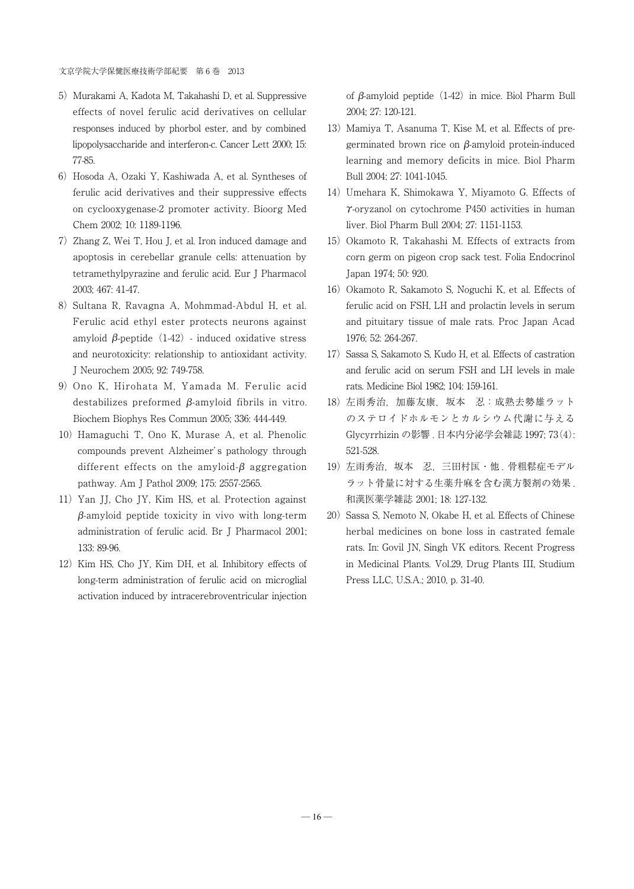- 5) Murakami A, Kadota M, Takahashi D, et al. Suppressive effects of novel ferulic acid derivatives on cellular responses induced by phorbol ester, and by combined lipopolysaccharide and interferon-c. Cancer Lett 2000; 15: 77-85.
- 6)Hosoda A, Ozaki Y, Kashiwada A, et al. Syntheses of ferulic acid derivatives and their suppressive effects on cyclooxygenase-2 promoter activity. Bioorg Med Chem 2002; 10: 1189-1196.
- 7)Zhang Z, Wei T, Hou J, et al. Iron induced damage and apoptosis in cerebellar granule cells: attenuation by tetramethylpyrazine and ferulic acid. Eur J Pharmacol 2003; 467: 41-47.
- 8) Sultana R, Ravagna A, Mohmmad-Abdul H, et al. Ferulic acid ethyl ester protects neurons against amyloid  $\beta$ -peptide (1-42) - induced oxidative stress and neurotoxicity: relationship to antioxidant activity. J Neurochem 2005; 92: 749-758.
- 9) Ono K, Hirohata M, Yamada M. Ferulic acid destabilizes preformed  $\beta$ -amyloid fibrils in vitro. Biochem Biophys Res Commun 2005; 336: 444-449.
- 10) Hamaguchi T, Ono K, Murase A, et al. Phenolic compounds prevent Alzheimer' s pathology through different effects on the amyloid- $\beta$  aggregation pathway. Am J Pathol 2009; 175: 2557-2565.
- 11) Yan JJ, Cho JY, Kim HS, et al. Protection against  $\beta$ -amyloid peptide toxicity in vivo with long-term administration of ferulic acid. Br J Pharmacol 2001; 133: 89-96.
- 12) Kim HS, Cho JY, Kim DH, et al. Inhibitory effects of long-term administration of ferulic acid on microglial activation induced by intracerebroventricular injection

of  $\beta$ -amyloid peptide (1-42) in mice. Biol Pharm Bull 2004; 27: 120-121.

- 13) Mamiya T, Asanuma T, Kise M, et al. Effects of pregerminated brown rice on  $\beta$ -amyloid protein-induced learning and memory deficits in mice. Biol Pharm Bull 2004; 27: 1041-1045.
- 14) Umehara K, Shimokawa Y, Miyamoto G. Effects of  $\gamma$ -oryzanol on cytochrome P450 activities in human liver. Biol Pharm Bull 2004; 27: 1151-1153.
- 15) Okamoto R, Takahashi M. Effects of extracts from corn germ on pigeon crop sack test. Folia Endocrinol Japan 1974; 50: 920.
- 16) Okamoto R, Sakamoto S, Noguchi K, et al. Effects of ferulic acid on FSH, LH and prolactin levels in serum and pituitary tissue of male rats. Proc Japan Acad 1976; 52: 264-267.
- 17) Sassa S, Sakamoto S, Kudo H, et al. Effects of castration and ferulic acid on serum FSH and LH levels in male rats. Medicine Biol 1982; 104: 159-161.
- 18) 左雨秀治, 加藤友康, 坂本 忍:成熟去勢雄ラット のステロイドホルモンとカルシウム代謝に与える Glycyrrhizin の影響 . 日本内分泌学会雑誌 1997; 73(4): 521-528.
- 19) 左雨秀治, 坂本 忍, 三田村匡・他. 骨粗鬆症モデル ラット骨量に対する生薬升麻を含む漢方製剤の効果 . 和漢医薬学雑誌 2001; 18: 127-132.
- 20) Sassa S, Nemoto N, Okabe H, et al. Effects of Chinese herbal medicines on bone loss in castrated female rats. In: Govil JN, Singh VK editors. Recent Progress in Medicinal Plants. Vol.29, Drug Plants III, Studium Press LLC, U.S.A.; 2010, p. 31-40.